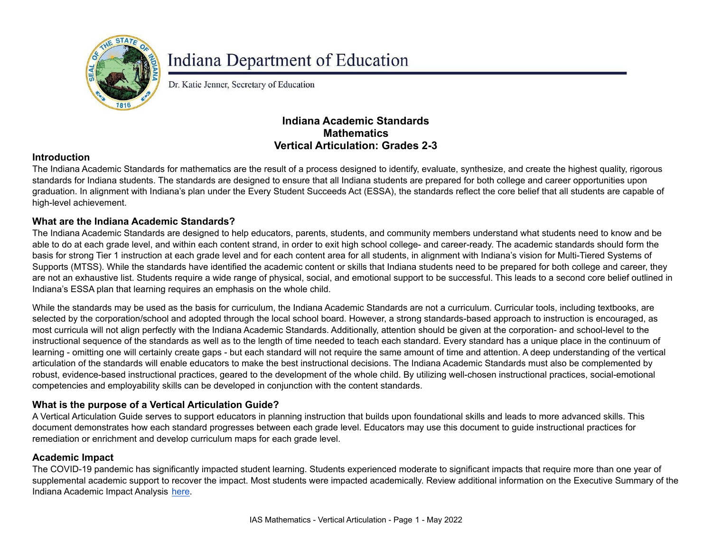

# **Indiana Department of Education**

Dr. Katie Jenner, Secretary of Education

## **Indiana Academic Standards Mathematics Vertical Articulation: Grades 2-3**

### **Introduction**

The Indiana Academic Standards for mathematics are the result of a process designed to identify, evaluate, synthesize, and create the highest quality, rigorous standards for Indiana students. The standards are designed to ensure that all Indiana students are prepared for both college and career opportunities upon graduation. In alignment with Indiana's plan under the Every Student Succeeds Act (ESSA), the standards reflect the core belief that all students are capable of high-level achievement.

#### **What are the Indiana Academic Standards?**

The Indiana Academic Standards are designed to help educators, parents, students, and community members understand what students need to know and be able to do at each grade level, and within each content strand, in order to exit high school college- and career-ready. The academic standards should form the basis for strong Tier 1 instruction at each grade level and for each content area for all students, in alignment with Indiana's vision for Multi-Tiered Systems of Supports (MTSS). While the standards have identified the academic content or skills that Indiana students need to be prepared for both college and career, they are not an exhaustive list. Students require a wide range of physical, social, and emotional support to be successful. This leads to a second core belief outlined in Indiana's ESSA plan that learning requires an emphasis on the whole child.

While the standards may be used as the basis for curriculum, the Indiana Academic Standards are not a curriculum. Curricular tools, including textbooks, are selected by the corporation/school and adopted through the local school board. However, a strong standards-based approach to instruction is encouraged, as most curricula will not align perfectly with the Indiana Academic Standards. Additionally, attention should be given at the corporation- and school-level to the instructional sequence of the standards as well as to the length of time needed to teach each standard. Every standard has a unique place in the continuum of learning - omitting one will certainly create gaps - but each standard will not require the same amount of time and attention. A deep understanding of the vertical articulation of the standards will enable educators to make the best instructional decisions. The Indiana Academic Standards must also be complemented by robust, evidence-based instructional practices, geared to the development of the whole child. By utilizing well-chosen instructional practices, social-emotional competencies and employability skills can be developed in conjunction with the content standards.

## **What is the purpose of a Vertical Articulation Guide?**

A Vertical Articulation Guide serves to support educators in planning instruction that builds upon foundational skills and leads to more advanced skills. This document demonstrates how each standard progresses between each grade level. Educators may use this document to guide instructional practices for remediation or enrichment and develop curriculum maps for each grade level.

#### **Academic Impact**

The COVID-19 pandemic has significantly impacted student learning. Students experienced moderate to significant impacts that require more than one year of supplemental academic support to recover the impact. Most students were impacted academically. Review additional information on the Executive Summary of the Indiana Academic Impact Analysis [here](https://media.doe.in.gov/assessment/7.14.21-sboe-presentation.pdf).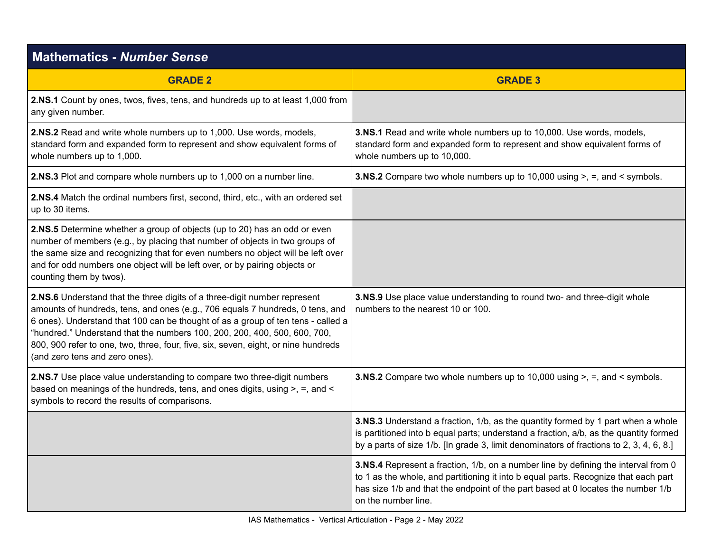| <b>Mathematics - Number Sense</b>                                                                                                                                                                                                                                                                                                                                                                                                                   |                                                                                                                                                                                                                                                                                      |
|-----------------------------------------------------------------------------------------------------------------------------------------------------------------------------------------------------------------------------------------------------------------------------------------------------------------------------------------------------------------------------------------------------------------------------------------------------|--------------------------------------------------------------------------------------------------------------------------------------------------------------------------------------------------------------------------------------------------------------------------------------|
| <b>GRADE 2</b>                                                                                                                                                                                                                                                                                                                                                                                                                                      | <b>GRADE 3</b>                                                                                                                                                                                                                                                                       |
| 2.NS.1 Count by ones, twos, fives, tens, and hundreds up to at least 1,000 from<br>any given number.                                                                                                                                                                                                                                                                                                                                                |                                                                                                                                                                                                                                                                                      |
| 2.NS.2 Read and write whole numbers up to 1,000. Use words, models,<br>standard form and expanded form to represent and show equivalent forms of<br>whole numbers up to 1,000.                                                                                                                                                                                                                                                                      | 3.NS.1 Read and write whole numbers up to 10,000. Use words, models,<br>standard form and expanded form to represent and show equivalent forms of<br>whole numbers up to 10,000.                                                                                                     |
| 2.NS.3 Plot and compare whole numbers up to 1,000 on a number line.                                                                                                                                                                                                                                                                                                                                                                                 | <b>3.NS.2</b> Compare two whole numbers up to 10,000 using $>$ , $=$ , and $\lt$ symbols.                                                                                                                                                                                            |
| 2.NS.4 Match the ordinal numbers first, second, third, etc., with an ordered set<br>up to 30 items.                                                                                                                                                                                                                                                                                                                                                 |                                                                                                                                                                                                                                                                                      |
| 2.NS.5 Determine whether a group of objects (up to 20) has an odd or even<br>number of members (e.g., by placing that number of objects in two groups of<br>the same size and recognizing that for even numbers no object will be left over<br>and for odd numbers one object will be left over, or by pairing objects or<br>counting them by twos).                                                                                                |                                                                                                                                                                                                                                                                                      |
| 2.NS.6 Understand that the three digits of a three-digit number represent<br>amounts of hundreds, tens, and ones (e.g., 706 equals 7 hundreds, 0 tens, and<br>6 ones). Understand that 100 can be thought of as a group of ten tens - called a<br>"hundred." Understand that the numbers 100, 200, 200, 400, 500, 600, 700,<br>800, 900 refer to one, two, three, four, five, six, seven, eight, or nine hundreds<br>(and zero tens and zero ones). | 3.NS.9 Use place value understanding to round two- and three-digit whole<br>numbers to the nearest 10 or 100.                                                                                                                                                                        |
| 2.NS.7 Use place value understanding to compare two three-digit numbers<br>based on meanings of the hundreds, tens, and ones digits, using >, =, and <<br>symbols to record the results of comparisons.                                                                                                                                                                                                                                             | <b>3.NS.2</b> Compare two whole numbers up to 10,000 using $>$ , $=$ , and $\lt$ symbols.                                                                                                                                                                                            |
|                                                                                                                                                                                                                                                                                                                                                                                                                                                     | 3.NS.3 Understand a fraction, 1/b, as the quantity formed by 1 part when a whole<br>is partitioned into b equal parts; understand a fraction, a/b, as the quantity formed<br>by a parts of size 1/b. [In grade 3, limit denominators of fractions to 2, 3, 4, 6, 8.]                 |
|                                                                                                                                                                                                                                                                                                                                                                                                                                                     | 3.NS.4 Represent a fraction, 1/b, on a number line by defining the interval from 0<br>to 1 as the whole, and partitioning it into b equal parts. Recognize that each part<br>has size 1/b and that the endpoint of the part based at 0 locates the number 1/b<br>on the number line. |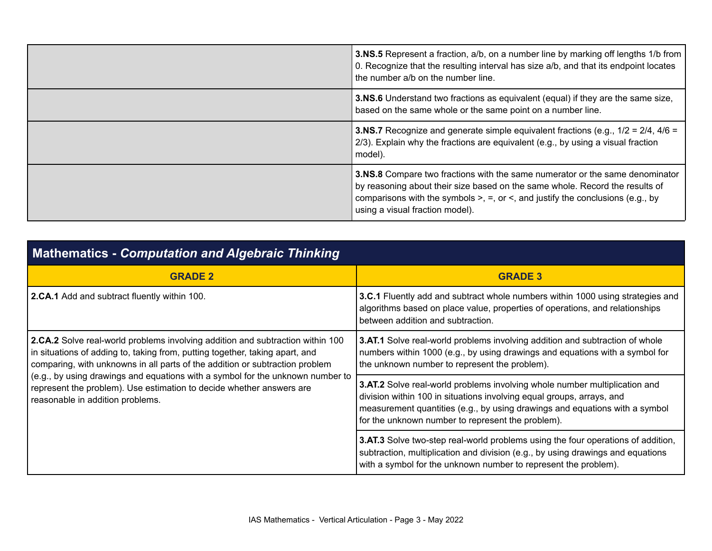| 3.NS.5 Represent a fraction, a/b, on a number line by marking off lengths 1/b from<br>0. Recognize that the resulting interval has size a/b, and that its endpoint locates<br>the number a/b on the number line.                                                                                             |
|--------------------------------------------------------------------------------------------------------------------------------------------------------------------------------------------------------------------------------------------------------------------------------------------------------------|
| <b>3.NS.6</b> Understand two fractions as equivalent (equal) if they are the same size,<br>based on the same whole or the same point on a number line.                                                                                                                                                       |
| <b>3.NS.7</b> Recognize and generate simple equivalent fractions (e.g., $1/2 = 2/4$ , $4/6 = 1/2$<br>2/3). Explain why the fractions are equivalent (e.g., by using a visual fraction<br>model).                                                                                                             |
| <b>3.NS.8</b> Compare two fractions with the same numerator or the same denominator<br>by reasoning about their size based on the same whole. Record the results of<br>comparisons with the symbols $\geq$ , $\equiv$ , or $\leq$ , and justify the conclusions (e.g., by<br>using a visual fraction model). |

| <b>Mathematics - Computation and Algebraic Thinking</b>                                                                                                                                                                                                                                                                                                                                                                                      |                                                                                                                                                                                                                                                                                                |
|----------------------------------------------------------------------------------------------------------------------------------------------------------------------------------------------------------------------------------------------------------------------------------------------------------------------------------------------------------------------------------------------------------------------------------------------|------------------------------------------------------------------------------------------------------------------------------------------------------------------------------------------------------------------------------------------------------------------------------------------------|
| <b>GRADE 2</b>                                                                                                                                                                                                                                                                                                                                                                                                                               | <b>GRADE 3</b>                                                                                                                                                                                                                                                                                 |
| 2.CA.1 Add and subtract fluently within 100.                                                                                                                                                                                                                                                                                                                                                                                                 | <b>3.C.1</b> Fluently add and subtract whole numbers within 1000 using strategies and<br>algorithms based on place value, properties of operations, and relationships<br>between addition and subtraction.                                                                                     |
| 2.CA.2 Solve real-world problems involving addition and subtraction within 100<br>in situations of adding to, taking from, putting together, taking apart, and<br>comparing, with unknowns in all parts of the addition or subtraction problem<br>(e.g., by using drawings and equations with a symbol for the unknown number to<br>represent the problem). Use estimation to decide whether answers are<br>reasonable in addition problems. | 3.AT.1 Solve real-world problems involving addition and subtraction of whole<br>numbers within 1000 (e.g., by using drawings and equations with a symbol for<br>the unknown number to represent the problem).                                                                                  |
|                                                                                                                                                                                                                                                                                                                                                                                                                                              | <b>3.AT.2</b> Solve real-world problems involving whole number multiplication and<br>division within 100 in situations involving equal groups, arrays, and<br>measurement quantities (e.g., by using drawings and equations with a symbol<br>for the unknown number to represent the problem). |
|                                                                                                                                                                                                                                                                                                                                                                                                                                              | 3.AT.3 Solve two-step real-world problems using the four operations of addition,<br>subtraction, multiplication and division (e.g., by using drawings and equations<br>with a symbol for the unknown number to represent the problem).                                                         |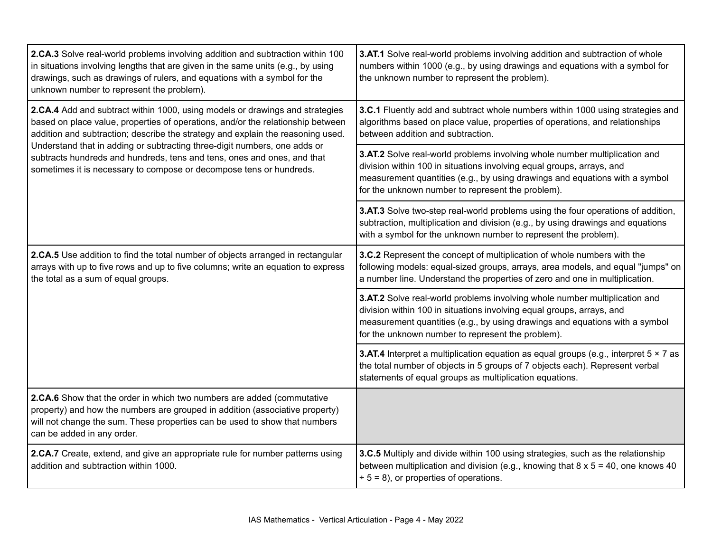| 2.CA.3 Solve real-world problems involving addition and subtraction within 100<br>in situations involving lengths that are given in the same units (e.g., by using<br>drawings, such as drawings of rulers, and equations with a symbol for the<br>unknown number to represent the problem).                                                                                                                                                                                      | 3.AT.1 Solve real-world problems involving addition and subtraction of whole<br>numbers within 1000 (e.g., by using drawings and equations with a symbol for<br>the unknown number to represent the problem).                                                                           |
|-----------------------------------------------------------------------------------------------------------------------------------------------------------------------------------------------------------------------------------------------------------------------------------------------------------------------------------------------------------------------------------------------------------------------------------------------------------------------------------|-----------------------------------------------------------------------------------------------------------------------------------------------------------------------------------------------------------------------------------------------------------------------------------------|
| 2.CA.4 Add and subtract within 1000, using models or drawings and strategies<br>based on place value, properties of operations, and/or the relationship between<br>addition and subtraction; describe the strategy and explain the reasoning used.<br>Understand that in adding or subtracting three-digit numbers, one adds or<br>subtracts hundreds and hundreds, tens and tens, ones and ones, and that<br>sometimes it is necessary to compose or decompose tens or hundreds. | 3.C.1 Fluently add and subtract whole numbers within 1000 using strategies and<br>algorithms based on place value, properties of operations, and relationships<br>between addition and subtraction.                                                                                     |
|                                                                                                                                                                                                                                                                                                                                                                                                                                                                                   | 3.AT.2 Solve real-world problems involving whole number multiplication and<br>division within 100 in situations involving equal groups, arrays, and<br>measurement quantities (e.g., by using drawings and equations with a symbol<br>for the unknown number to represent the problem). |
|                                                                                                                                                                                                                                                                                                                                                                                                                                                                                   | 3.AT.3 Solve two-step real-world problems using the four operations of addition,<br>subtraction, multiplication and division (e.g., by using drawings and equations<br>with a symbol for the unknown number to represent the problem).                                                  |
| 2.CA.5 Use addition to find the total number of objects arranged in rectangular<br>arrays with up to five rows and up to five columns; write an equation to express<br>the total as a sum of equal groups.                                                                                                                                                                                                                                                                        | 3.C.2 Represent the concept of multiplication of whole numbers with the<br>following models: equal-sized groups, arrays, area models, and equal "jumps" on<br>a number line. Understand the properties of zero and one in multiplication.                                               |
|                                                                                                                                                                                                                                                                                                                                                                                                                                                                                   | 3.AT.2 Solve real-world problems involving whole number multiplication and<br>division within 100 in situations involving equal groups, arrays, and<br>measurement quantities (e.g., by using drawings and equations with a symbol<br>for the unknown number to represent the problem). |
|                                                                                                                                                                                                                                                                                                                                                                                                                                                                                   | <b>3.AT.4</b> Interpret a multiplication equation as equal groups (e.g., interpret $5 \times 7$ as<br>the total number of objects in 5 groups of 7 objects each). Represent verbal<br>statements of equal groups as multiplication equations.                                           |
| 2.CA.6 Show that the order in which two numbers are added (commutative<br>property) and how the numbers are grouped in addition (associative property)<br>will not change the sum. These properties can be used to show that numbers<br>can be added in any order.                                                                                                                                                                                                                |                                                                                                                                                                                                                                                                                         |
| 2.CA.7 Create, extend, and give an appropriate rule for number patterns using<br>addition and subtraction within 1000.                                                                                                                                                                                                                                                                                                                                                            | 3.C.5 Multiply and divide within 100 using strategies, such as the relationship<br>between multiplication and division (e.g., knowing that $8 \times 5 = 40$ , one knows 40<br>$\div$ 5 = 8), or properties of operations.                                                              |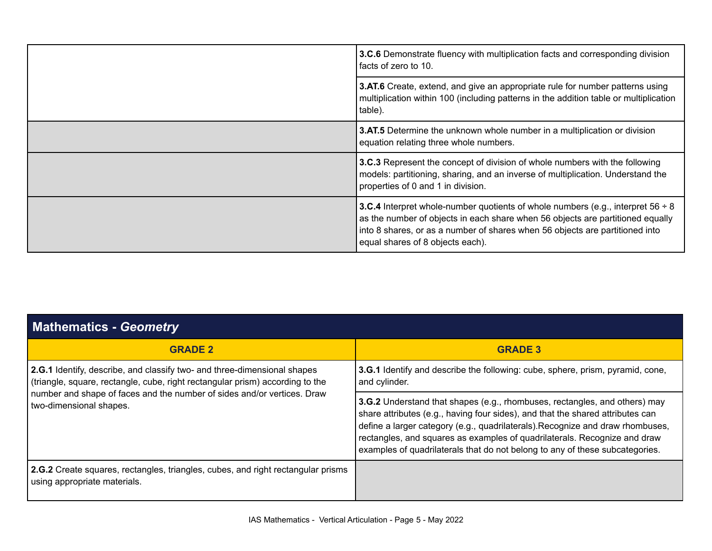|  | 3.C.6 Demonstrate fluency with multiplication facts and corresponding division<br>facts of zero to 10.                                                                                                                                                                                            |
|--|---------------------------------------------------------------------------------------------------------------------------------------------------------------------------------------------------------------------------------------------------------------------------------------------------|
|  | 3.AT.6 Create, extend, and give an appropriate rule for number patterns using<br>multiplication within 100 (including patterns in the addition table or multiplication<br>table).                                                                                                                 |
|  | <b>3.AT.5</b> Determine the unknown whole number in a multiplication or division<br>equation relating three whole numbers.                                                                                                                                                                        |
|  | 3.C.3 Represent the concept of division of whole numbers with the following<br>models: partitioning, sharing, and an inverse of multiplication. Understand the<br>properties of 0 and 1 in division.                                                                                              |
|  | <b>3.C.4</b> Interpret whole-number quotients of whole numbers (e.g., interpret $56 \div 8$<br>as the number of objects in each share when 56 objects are partitioned equally<br>into 8 shares, or as a number of shares when 56 objects are partitioned into<br>equal shares of 8 objects each). |

| <b>Mathematics - Geometry</b>                                                                                                                                                                                                                                   |                                                                                                                                                                                                                                                                                                                                                                                                                    |
|-----------------------------------------------------------------------------------------------------------------------------------------------------------------------------------------------------------------------------------------------------------------|--------------------------------------------------------------------------------------------------------------------------------------------------------------------------------------------------------------------------------------------------------------------------------------------------------------------------------------------------------------------------------------------------------------------|
| <b>GRADE 2</b>                                                                                                                                                                                                                                                  | <b>GRADE 3</b>                                                                                                                                                                                                                                                                                                                                                                                                     |
| 2.G.1 Identify, describe, and classify two- and three-dimensional shapes<br>(triangle, square, rectangle, cube, right rectangular prism) according to the<br>number and shape of faces and the number of sides and/or vertices. Draw<br>two-dimensional shapes. | <b>3.G.1</b> Identify and describe the following: cube, sphere, prism, pyramid, cone,<br>and cylinder.                                                                                                                                                                                                                                                                                                             |
|                                                                                                                                                                                                                                                                 | <b>3.G.2</b> Understand that shapes (e.g., rhombuses, rectangles, and others) may<br>share attributes (e.g., having four sides), and that the shared attributes can<br>define a larger category (e.g., quadrilaterals). Recognize and draw rhombuses,<br>rectangles, and squares as examples of quadrilaterals. Recognize and draw<br>examples of quadrilaterals that do not belong to any of these subcategories. |
| 2.G.2 Create squares, rectangles, triangles, cubes, and right rectangular prisms<br>using appropriate materials.                                                                                                                                                |                                                                                                                                                                                                                                                                                                                                                                                                                    |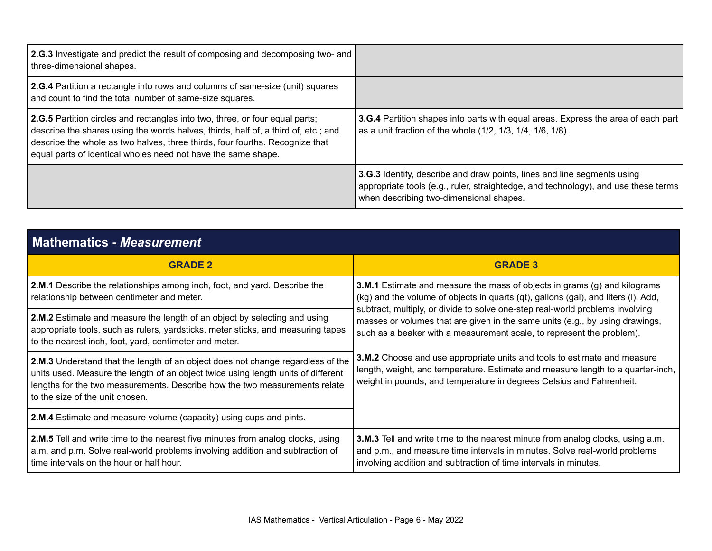| 2.G.3 Investigate and predict the result of composing and decomposing two- and<br>three-dimensional shapes.                                                                                                                                                                                                         |                                                                                                                                                                                                          |
|---------------------------------------------------------------------------------------------------------------------------------------------------------------------------------------------------------------------------------------------------------------------------------------------------------------------|----------------------------------------------------------------------------------------------------------------------------------------------------------------------------------------------------------|
| 2.G.4 Partition a rectangle into rows and columns of same-size (unit) squares<br>and count to find the total number of same-size squares.                                                                                                                                                                           |                                                                                                                                                                                                          |
| 2.G.5 Partition circles and rectangles into two, three, or four equal parts;<br>describe the shares using the words halves, thirds, half of, a third of, etc.; and<br>describe the whole as two halves, three thirds, four fourths. Recognize that<br>equal parts of identical wholes need not have the same shape. | <b>3.G.4</b> Partition shapes into parts with equal areas. Express the area of each part<br>as a unit fraction of the whole (1/2, 1/3, 1/4, 1/6, 1/8).                                                   |
|                                                                                                                                                                                                                                                                                                                     | 3.G.3 Identify, describe and draw points, lines and line segments using<br>appropriate tools (e.g., ruler, straightedge, and technology), and use these terms<br>when describing two-dimensional shapes. |

| <b>Mathematics - Measurement</b>                                                                                                                                                                                                                                                      |                                                                                                                                                                                                                                        |
|---------------------------------------------------------------------------------------------------------------------------------------------------------------------------------------------------------------------------------------------------------------------------------------|----------------------------------------------------------------------------------------------------------------------------------------------------------------------------------------------------------------------------------------|
| <b>GRADE 2</b>                                                                                                                                                                                                                                                                        | <b>GRADE 3</b>                                                                                                                                                                                                                         |
| <b>2.M.1</b> Describe the relationships among inch, foot, and yard. Describe the<br>relationship between centimeter and meter.                                                                                                                                                        | <b>3.M.1</b> Estimate and measure the mass of objects in grams (g) and kilograms<br>(kg) and the volume of objects in quarts (qt), gallons (gal), and liters (I). Add,                                                                 |
| 2.M.2 Estimate and measure the length of an object by selecting and using<br>appropriate tools, such as rulers, yardsticks, meter sticks, and measuring tapes<br>to the nearest inch, foot, yard, centimeter and meter.                                                               | subtract, multiply, or divide to solve one-step real-world problems involving<br>masses or volumes that are given in the same units (e.g., by using drawings,<br>such as a beaker with a measurement scale, to represent the problem). |
| 2.M.3 Understand that the length of an object does not change regardless of the<br>units used. Measure the length of an object twice using length units of different<br>lengths for the two measurements. Describe how the two measurements relate<br>to the size of the unit chosen. | 3.M.2 Choose and use appropriate units and tools to estimate and measure<br>length, weight, and temperature. Estimate and measure length to a quarter-inch,<br>weight in pounds, and temperature in degrees Celsius and Fahrenheit.    |
| <b>2.M.4</b> Estimate and measure volume (capacity) using cups and pints.                                                                                                                                                                                                             |                                                                                                                                                                                                                                        |
| 2.M.5 Tell and write time to the nearest five minutes from analog clocks, using<br>a.m. and p.m. Solve real-world problems involving addition and subtraction of<br>time intervals on the hour or half hour.                                                                          | 3.M.3 Tell and write time to the nearest minute from analog clocks, using a.m.<br>and p.m., and measure time intervals in minutes. Solve real-world problems<br>involving addition and subtraction of time intervals in minutes.       |